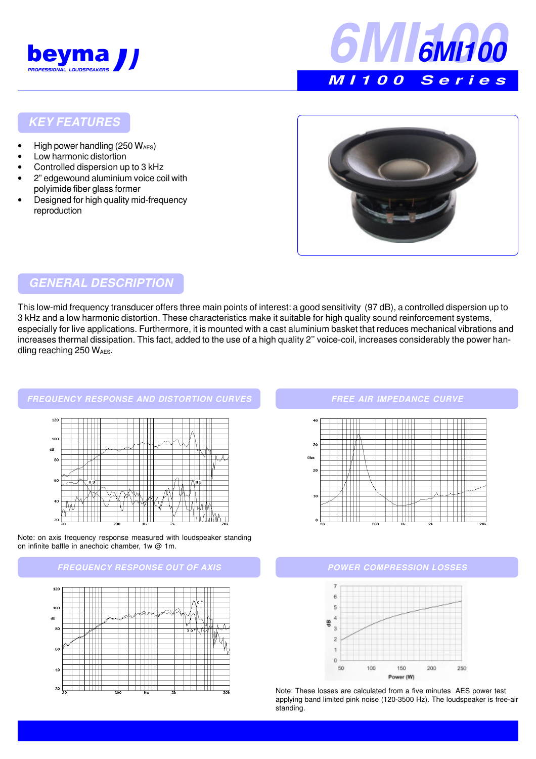



## **KEY FEATURES**

- High power handling  $(250 W_{\text{AES}})$
- Low harmonic distortion
- Controlled dispersion up to 3 kHz
- 2" edgewound aluminium voice coil with polyimide fiber glass former
- Designed for high quality mid-frequency reproduction



# **GENERAL DESCRIPTION**

This low-mid frequency transducer offers three main points of interest: a good sensitivity (97 dB), a controlled dispersion up to 3 kHz and a low harmonic distortion. These characteristics make it suitable for high quality sound reinforcement systems, especially for live applications. Furthermore, it is mounted with a cast aluminium basket that reduces mechanical vibrations and increases thermal dissipation. This fact, added to the use of a high quality 2'' voice-coil, increases considerably the power handling reaching  $250 W_{AES}$ .



Note: on axis frequency response measured with loudspeaker standing on infinite baffle in anechoic chamber, 1w @ 1m.





### **FREE AIR IMPEDANCE CURVE**





Note: These losses are calculated from a five minutes AES power test applying band limited pink noise (120-3500 Hz). The loudspeaker is free-air standing.